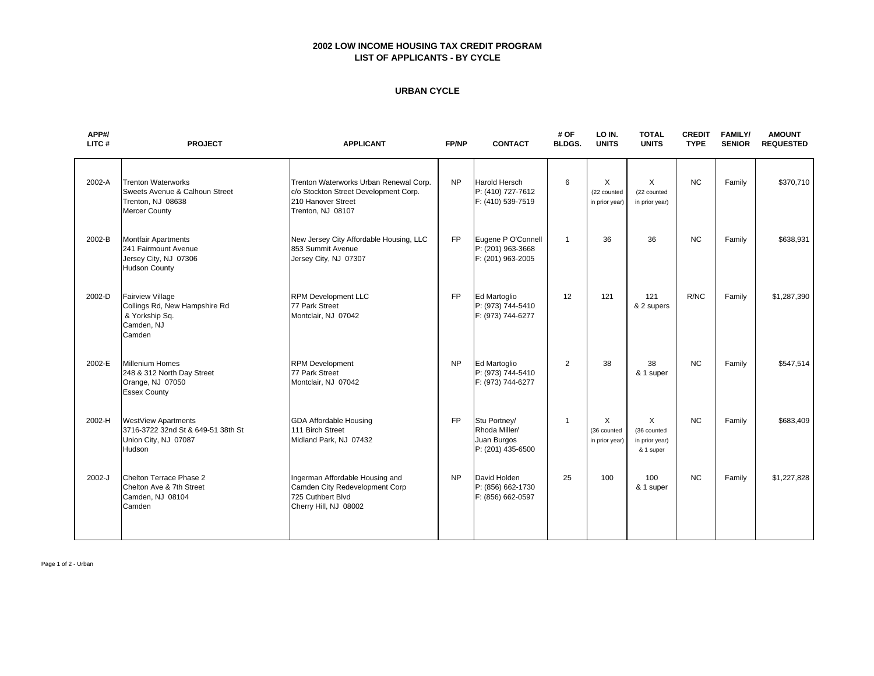## **2002 LOW INCOME HOUSING TAX CREDIT PROGRAM LIST OF APPLICANTS - BY CYCLE**

#### **URBAN CYCLE**

| APP#/<br>LITC# | <b>PROJECT</b>                                                                                           | FP/NP<br><b>APPLICANT</b>                                                                                                  |           | <b>CONTACT</b>                                                    | # OF<br><b>BLDGS.</b> | LO IN.<br><b>UNITS</b>                    | <b>TOTAL</b><br><b>UNITS</b>                    | <b>CREDIT</b><br><b>TYPE</b> | <b>FAMILY/</b><br><b>SENIOR</b> | <b>AMOUNT</b><br><b>REQUESTED</b> |
|----------------|----------------------------------------------------------------------------------------------------------|----------------------------------------------------------------------------------------------------------------------------|-----------|-------------------------------------------------------------------|-----------------------|-------------------------------------------|-------------------------------------------------|------------------------------|---------------------------------|-----------------------------------|
| 2002-A         | <b>Trenton Waterworks</b><br>Sweets Avenue & Calhoun Street<br>Trenton, NJ 08638<br><b>Mercer County</b> | Trenton Waterworks Urban Renewal Corp.<br>c/o Stockton Street Development Corp.<br>210 Hanover Street<br>Trenton, NJ 08107 | <b>NP</b> | <b>Harold Hersch</b><br>P: (410) 727-7612<br>F: (410) 539-7519    | 6                     | X<br>(22 counted<br>in prior year)        | X<br>(22 counted<br>in prior year)              | <b>NC</b>                    | Family                          | \$370,710                         |
| 2002-B         | <b>Montfair Apartments</b><br>241 Fairmount Avenue<br>Jersey City, NJ 07306<br><b>Hudson County</b>      | New Jersey City Affordable Housing, LLC<br>853 Summit Avenue<br>Jersey City, NJ 07307                                      | <b>FP</b> | Eugene P O'Connell<br>P: (201) 963-3668<br>F: (201) 963-2005      | $\mathbf{1}$          | 36                                        | 36                                              | <b>NC</b>                    | Family                          | \$638,931                         |
| 2002-D         | <b>Fairview Village</b><br>Collings Rd, New Hampshire Rd<br>& Yorkship Sq.<br>Camden, NJ<br>Camden       | <b>RPM Development LLC</b><br>77 Park Street<br>Montclair, NJ 07042                                                        | <b>FP</b> | Ed Martoglio<br>P: (973) 744-5410<br>F: (973) 744-6277            | 12                    | 121                                       | 121<br>& 2 supers                               | R/NC                         | Family                          | \$1,287,390                       |
| 2002-E         | <b>Millenium Homes</b><br>248 & 312 North Day Street<br>Orange, NJ 07050<br><b>Essex County</b>          | <b>RPM Development</b><br>77 Park Street<br>Montclair, NJ 07042                                                            | <b>NP</b> | Ed Martoglio<br>P: (973) 744-5410<br>F: (973) 744-6277            | 2                     | 38                                        | 38<br>& 1 super                                 | <b>NC</b>                    | Family                          | \$547,514                         |
| 2002-H         | <b>WestView Apartments</b><br>3716-3722 32nd St & 649-51 38th St<br>Union City, NJ 07087<br>Hudson       | <b>GDA Affordable Housing</b><br>111 Birch Street<br>Midland Park, NJ 07432                                                | <b>FP</b> | Stu Portney/<br>Rhoda Miller/<br>Juan Burgos<br>P: (201) 435-6500 | $\mathbf{1}$          | $\times$<br>(36 counted<br>in prior year) | X<br>(36 counted<br>in prior year)<br>& 1 super | <b>NC</b>                    | Family                          | \$683,409                         |
| 2002-J         | Chelton Terrace Phase 2<br>Chelton Ave & 7th Street<br>Camden, NJ 08104<br>Camden                        | Ingerman Affordable Housing and<br>Camden City Redevelopment Corp<br>725 Cuthbert Blvd<br>Cherry Hill, NJ 08002            | <b>NP</b> | David Holden<br>P: (856) 662-1730<br>F: (856) 662-0597            | 25                    | 100                                       | 100<br>& 1 super                                | <b>NC</b>                    | Family                          | \$1,227,828                       |

Page 1 of 2 - Urban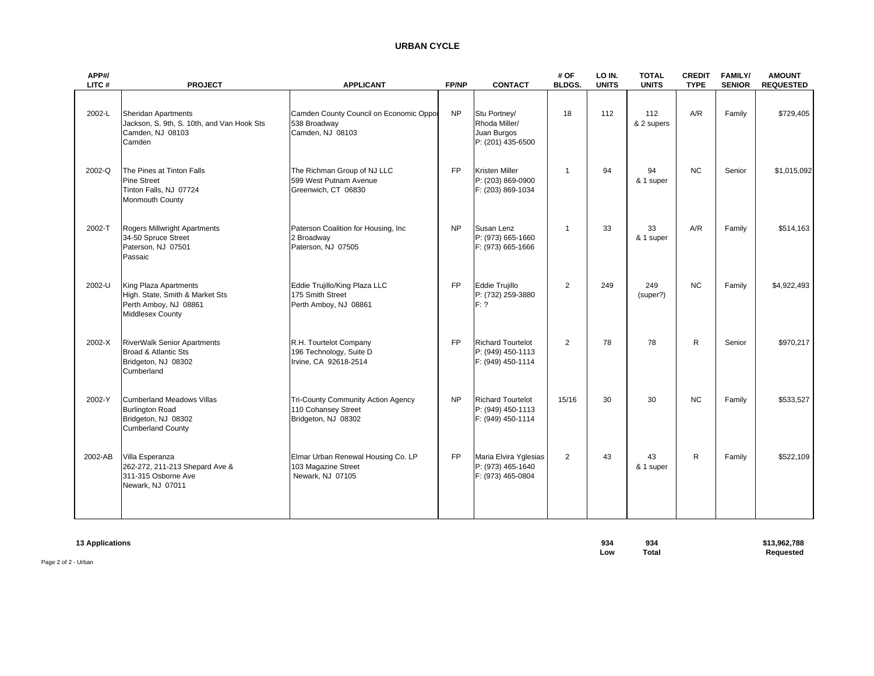# **URBAN CYCLE**

| APP#/<br>LITC# | <b>PROJECT</b>                                                                                                | <b>APPLICANT</b><br><b>FP/NP</b>                                                 |           | <b>CONTACT</b>                                                     | # OF<br><b>BLDGS.</b> | LO IN.<br><b>UNITS</b> | <b>TOTAL</b><br><b>UNITS</b> | <b>CREDIT</b><br><b>TYPE</b> | <b>FAMILY/</b><br><b>SENIOR</b> | <b>AMOUNT</b><br><b>REQUESTED</b> |
|----------------|---------------------------------------------------------------------------------------------------------------|----------------------------------------------------------------------------------|-----------|--------------------------------------------------------------------|-----------------------|------------------------|------------------------------|------------------------------|---------------------------------|-----------------------------------|
| 2002-L         | Sheridan Apartments<br>Jackson, S. 9th, S. 10th, and Van Hook Sts<br>Camden, NJ 08103<br>Camden               | Camden County Council on Economic Oppor<br>538 Broadway<br>Camden, NJ 08103      | <b>NP</b> | Stu Portney/<br>Rhoda Miller/<br>Juan Burgos<br>P: (201) 435-6500  | 18                    | 112                    | 112<br>& 2 supers            | A/R                          | Family                          | \$729,405                         |
| 2002-Q         | The Pines at Tinton Falls<br><b>Pine Street</b><br>Tinton Falls, NJ 07724<br>Monmouth County                  | The Richman Group of NJ LLC<br>599 West Putnam Avenue<br>Greenwich, CT 06830     | <b>FP</b> | <b>Kristen Miller</b><br>P: (203) 869-0900<br>F: (203) 869-1034    | $\overline{1}$        | 94                     | 94<br>& 1 super              | <b>NC</b>                    | Senior                          | \$1,015,092                       |
| 2002-T         | Rogers Millwright Apartments<br>34-50 Spruce Street<br>Paterson, NJ 07501<br>Passaic                          | Paterson Coalition for Housing, Inc.<br>2 Broadway<br>Paterson, NJ 07505         | <b>NP</b> | Susan Lenz<br>P: (973) 665-1660<br>F: (973) 665-1666               | $\overline{1}$        | 33                     | 33<br>& 1 super              | A/R                          | Family                          | \$514,163                         |
| 2002-U         | King Plaza Apartments<br>High. State, Smith & Market Sts<br>Perth Amboy, NJ 08861<br><b>Middlesex County</b>  | Eddie Trujillo/King Plaza LLC<br>175 Smith Street<br>Perth Amboy, NJ 08861       | <b>FP</b> | <b>Eddie Trujillo</b><br>P: (732) 259-3880<br>F: ?                 | $\overline{2}$        | 249                    | 249<br>(super?)              | <b>NC</b>                    | Family                          | \$4,922,493                       |
| 2002-X         | <b>RiverWalk Senior Apartments</b><br>Broad & Atlantic Sts<br>Bridgeton, NJ 08302<br>Cumberland               | R.H. Tourtelot Company<br>196 Technology, Suite D<br>Irvine, CA 92618-2514       | <b>FP</b> | <b>Richard Tourtelot</b><br>P: (949) 450-1113<br>F: (949) 450-1114 | 2                     | 78                     | 78                           | $\mathsf{R}$                 | Senior                          | \$970,217                         |
| 2002-Y         | <b>Cumberland Meadows Villas</b><br><b>Burlington Road</b><br>Bridgeton, NJ 08302<br><b>Cumberland County</b> | Tri-County Community Action Agency<br>110 Cohansey Street<br>Bridgeton, NJ 08302 | <b>NP</b> | <b>Richard Tourtelot</b><br>P: (949) 450-1113<br>F: (949) 450-1114 | 15/16                 | 30                     | 30                           | <b>NC</b>                    | Family                          | \$533,527                         |
| 2002-AB        | Villa Esperanza<br>262-272, 211-213 Shepard Ave &<br>311-315 Osborne Ave<br>Newark, NJ 07011                  | Elmar Urban Renewal Housing Co. LP<br>103 Magazine Street<br>Newark, NJ 07105    | <b>FP</b> | Maria Elvira Yglesias<br>P: (973) 465-1640<br>F: (973) 465-0804    | 2                     | 43                     | 43<br>& 1 super              | R.                           | Family                          | \$522,109                         |

| <b>13 Applications</b><br>. | 934 | 934   | \$13,962,788 |
|-----------------------------|-----|-------|--------------|
|                             | LOW | Total | Requested    |
| Page 2 of 2 - Urban         |     |       |              |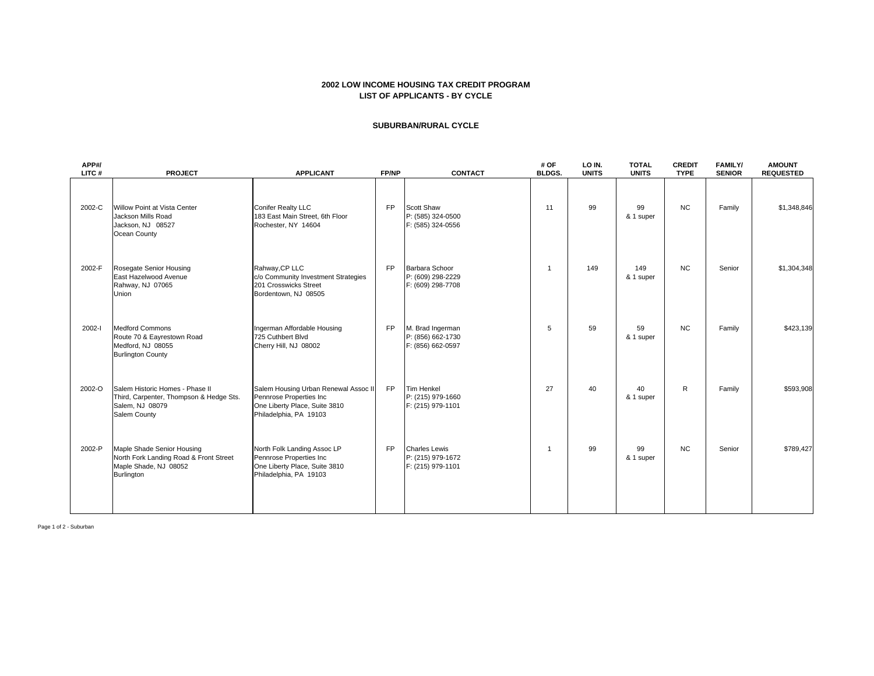#### **2002 LOW INCOME HOUSING TAX CREDIT PROGRAM LIST OF APPLICANTS - BY CYCLE**

#### **SUBURBAN/RURAL CYCLE**

| APP#/<br>LITC# | <b>PROJECT</b>                                                                                                     | <b>APPLICANT</b>                                                                                                           | FP/NP     | <b>CONTACT</b>                                                 | # OF<br><b>BLDGS.</b> | LO IN.<br><b>UNITS</b> | <b>TOTAL</b><br><b>UNITS</b> | <b>CREDIT</b><br><b>TYPE</b> | <b>FAMILY/</b><br><b>SENIOR</b> | <b>AMOUNT</b><br><b>REQUESTED</b> |
|----------------|--------------------------------------------------------------------------------------------------------------------|----------------------------------------------------------------------------------------------------------------------------|-----------|----------------------------------------------------------------|-----------------------|------------------------|------------------------------|------------------------------|---------------------------------|-----------------------------------|
| 2002-C         | Willow Point at Vista Center<br>Jackson Mills Road<br>Jackson, NJ 08527<br>Ocean County                            | <b>Conifer Realty LLC</b><br>183 East Main Street, 6th Floor<br>Rochester, NY 14604                                        | <b>FP</b> | <b>Scott Shaw</b><br>P: (585) 324-0500<br>F: (585) 324-0556    | 11                    | 99                     | 99<br>& 1 super              | <b>NC</b>                    | Family                          | \$1,348,846                       |
| 2002-F         | Rosegate Senior Housing<br>East Hazelwood Avenue<br>Rahway, NJ 07065<br>Union                                      | Rahway, CP LLC<br>c/o Community Investment Strategies<br>201 Crosswicks Street<br>Bordentown, NJ 08505                     | <b>FP</b> | Barbara Schoor<br>P: (609) 298-2229<br>F: (609) 298-7708       | $\overline{1}$        | 149                    | 149<br>& 1 super             | <b>NC</b>                    | Senior                          | \$1,304,348                       |
| 2002-l         | <b>Medford Commons</b><br>Route 70 & Eayrestown Road<br>Medford, NJ 08055<br><b>Burlington County</b>              | Ingerman Affordable Housing<br>725 Cuthbert Blvd<br>Cherry Hill, NJ 08002                                                  | <b>FP</b> | M. Brad Ingerman<br>P: (856) 662-1730<br>F: (856) 662-0597     | 5                     | 59                     | 59<br>& 1 super              | <b>NC</b>                    | Family                          | \$423,139                         |
| 2002-O         | Salem Historic Homes - Phase II<br>Third, Carpenter, Thompson & Hedge Sts.<br>Salem, NJ 08079<br>Salem County      | Salem Housing Urban Renewal Assoc II<br>Pennrose Properties Inc<br>One Liberty Place, Suite 3810<br>Philadelphia, PA 19103 | <b>FP</b> | Tim Henkel<br>P: (215) 979-1660<br>F: (215) 979-1101           | 27                    | 40                     | 40<br>& 1 super              | R                            | Family                          | \$593,908                         |
| 2002-P         | Maple Shade Senior Housing<br>North Fork Landing Road & Front Street<br>Maple Shade, NJ 08052<br><b>Burlington</b> | North Folk Landing Assoc LP<br>Pennrose Properties Inc<br>One Liberty Place, Suite 3810<br>Philadelphia, PA 19103          | <b>FP</b> | <b>Charles Lewis</b><br>P: (215) 979-1672<br>F: (215) 979-1101 | $\overline{1}$        | 99                     | 99<br>& 1 super              | <b>NC</b>                    | Senior                          | \$789,427                         |

Page 1 of 2 - Suburban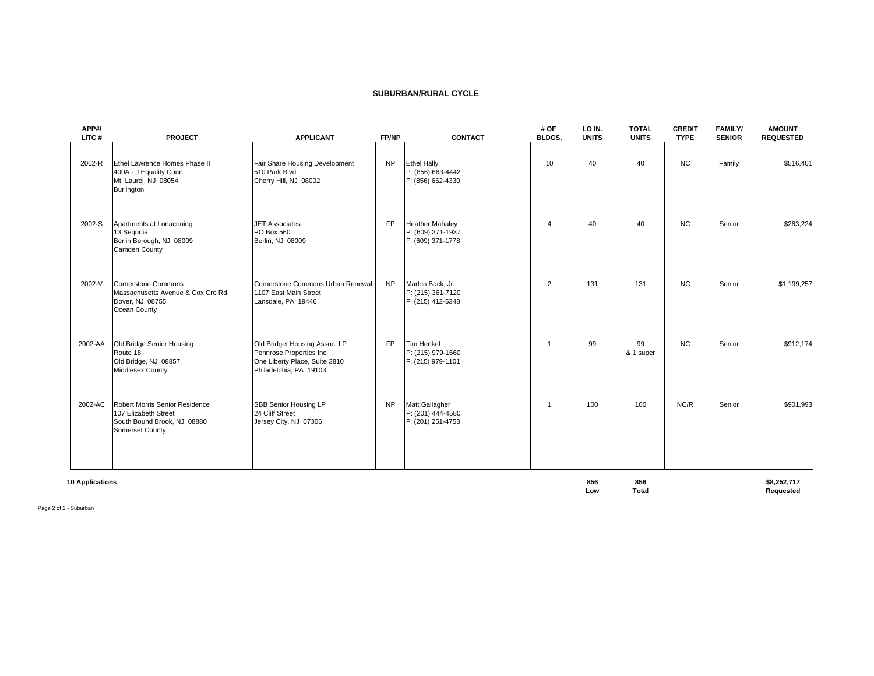#### **SUBURBAN/RURAL CYCLE**

| APP#/<br>LITC#  | <b>PROJECT</b>                                                                                           | <b>APPLICANT</b>                                                                                                    | FP/NP     | <b>CONTACT</b>                                                   | # OF<br><b>BLDGS.</b> | LO IN.<br><b>UNITS</b> | <b>TOTAL</b><br><b>UNITS</b> | <b>CREDIT</b><br><b>TYPE</b> | <b>FAMILY/</b><br><b>SENIOR</b> | <b>AMOUNT</b><br><b>REQUESTED</b> |
|-----------------|----------------------------------------------------------------------------------------------------------|---------------------------------------------------------------------------------------------------------------------|-----------|------------------------------------------------------------------|-----------------------|------------------------|------------------------------|------------------------------|---------------------------------|-----------------------------------|
| 2002-R          | Ethel Lawrence Homes Phase II<br>400A - J Equality Court<br>Mt. Laurel, NJ 08054<br><b>Burlington</b>    | Fair Share Housing Development<br>510 Park Blvd<br>Cherry Hill, NJ 08002                                            | <b>NP</b> | <b>Ethel Hally</b><br>P: (856) 663-4442<br>F: (856) 662-4330     | 10                    | 40                     | 40                           | <b>NC</b>                    | Family                          | \$516,401                         |
| 2002-S          | Apartments at Lonaconing<br>13 Sequoia<br>Berlin Borough, NJ 08009<br>Camden County                      | <b>JET Associates</b><br>PO Box 560<br>Berlin, NJ 08009                                                             | <b>FP</b> | <b>Heather Mahaley</b><br>P: (609) 371-1937<br>F: (609) 371-1778 | $\overline{4}$        | 40                     | 40                           | <b>NC</b>                    | Senior                          | \$263,224                         |
| 2002-V          | <b>Cornerstone Commons</b><br>Massachusetts Avenue & Cox Cro Rd.<br>Dover, NJ 08755<br>Ocean County      | Cornerstone Commons Urban Renewal<br>1107 East Main Street<br>Lansdale, PA 19446                                    | <b>NP</b> | Marlon Back, Jr.<br>P: (215) 361-7120<br>F: (215) 412-5348       | 2                     | 131                    | 131                          | <b>NC</b>                    | Senior                          | \$1,199,257                       |
| 2002-AA         | Old Bridge Senior Housing<br>Route 18<br>Old Bridge, NJ 08857<br>Middlesex County                        | Old Bridget Housing Assoc. LP<br>Pennrose Properties Inc<br>One Liberty Place, Suite 3810<br>Philadelphia, PA 19103 | <b>FP</b> | Tim Henkel<br>P: (215) 979-1660<br>F: (215) 979-1101             | -1                    | 99                     | 99<br>& 1 super              | <b>NC</b>                    | Senior                          | \$912,174                         |
| 2002-AC         | Robert Morris Senior Residence<br>107 Elizabeth Street<br>South Bound Brook, NJ 08880<br>Somerset County | SBB Senior Housing LP<br>24 Cliff Street<br>Jersey City, NJ 07306                                                   | <b>NP</b> | Matt Gallagher<br>P: (201) 444-4580<br>F: (201) 251-4753         | $\overline{1}$        | 100                    | 100                          | NC/R                         | Senior                          | \$901,993                         |
| 10 Applications |                                                                                                          |                                                                                                                     |           |                                                                  |                       | 856                    | 856                          |                              |                                 | \$8,252,717                       |

Low Total **Requested** 

Page 2 of 2 - Suburban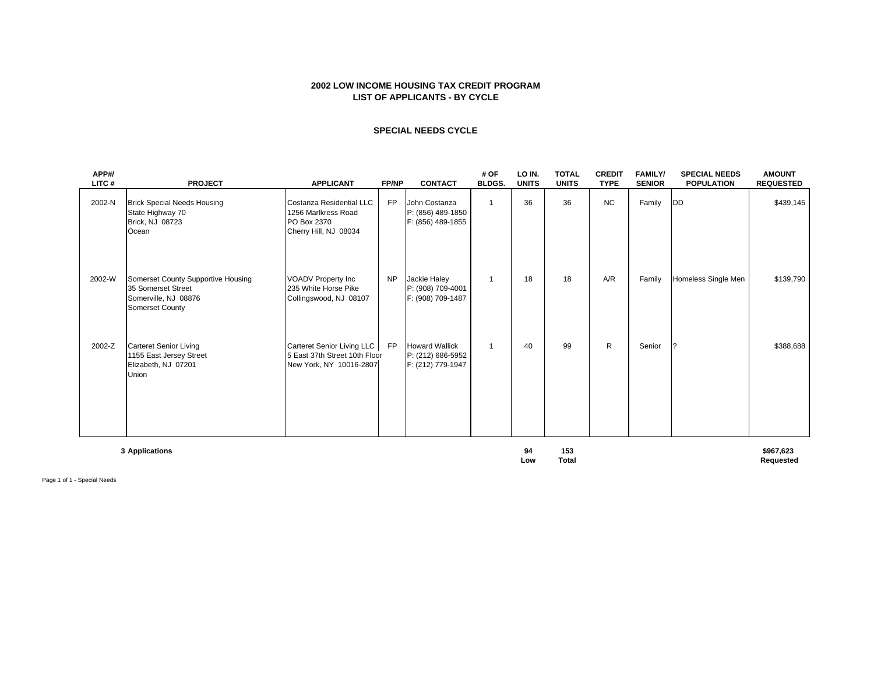### **2002 LOW INCOME HOUSING TAX CREDIT PROGRAM LIST OF APPLICANTS - BY CYCLE**

### **SPECIAL NEEDS CYCLE**

| APP#/<br>LITC# | <b>PROJECT</b>                                                                                             | <b>APPLICANT</b>                                                                        | FP/NP     | <b>CONTACT</b>                                                  | # OF<br><b>BLDGS.</b> | LO IN.<br><b>UNITS</b> | <b>TOTAL</b><br><b>UNITS</b> | <b>CREDIT</b><br><b>TYPE</b> | <b>FAMILY/</b><br><b>SENIOR</b> | <b>SPECIAL NEEDS</b><br><b>POPULATION</b> | <b>AMOUNT</b><br><b>REQUESTED</b> |
|----------------|------------------------------------------------------------------------------------------------------------|-----------------------------------------------------------------------------------------|-----------|-----------------------------------------------------------------|-----------------------|------------------------|------------------------------|------------------------------|---------------------------------|-------------------------------------------|-----------------------------------|
| 2002-N         | <b>Brick Special Needs Housing</b><br>State Highway 70<br>Brick, NJ 08723<br>Ocean                         | Costanza Residential LLC<br>1256 Marlkress Road<br>PO Box 2370<br>Cherry Hill, NJ 08034 | FP        | John Costanza<br>P: (856) 489-1850<br>F: (856) 489-1855         | $\overline{1}$        | 36                     | 36                           | <b>NC</b>                    | Family                          | DD                                        | \$439,145                         |
| 2002-W         | Somerset County Supportive Housing<br>35 Somerset Street<br>Somerville, NJ 08876<br><b>Somerset County</b> | <b>VOADV Property Inc</b><br>235 White Horse Pike<br>Collingswood, NJ 08107             | <b>NP</b> | Jackie Haley<br>P: (908) 709-4001<br>F: (908) 709-1487          | $\overline{1}$        | 18                     | 18                           | A/R                          | Family                          | Homeless Single Men                       | \$139,790                         |
| 2002-Z         | <b>Carteret Senior Living</b><br>1155 East Jersey Street<br>Elizabeth, NJ 07201<br><b>Union</b>            | Carteret Senior Living LLC<br>5 East 37th Street 10th Floor<br>New York, NY 10016-2807  | FP        | <b>Howard Wallick</b><br>P: (212) 686-5952<br>F: (212) 779-1947 | $\mathbf{1}$          | 40                     | 99                           | R                            | Senior                          |                                           | \$388,688                         |
|                | 3 Applications                                                                                             |                                                                                         |           |                                                                 |                       | 94                     | 153                          |                              |                                 |                                           | \$967,623                         |

**Low<b>Total Requested Requested** 

Page 1 of 1 - Special Needs